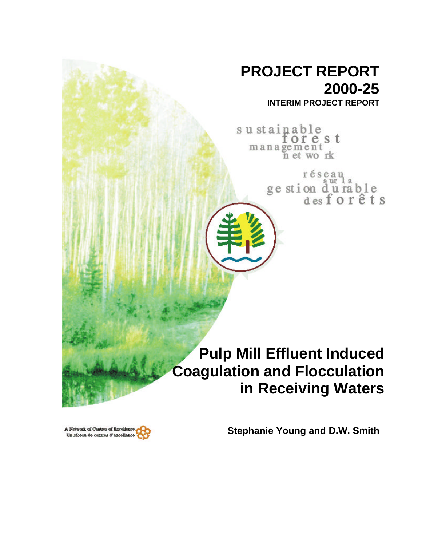# **PROJECT REPORT 2000-25**

**INTERIM PROJECT REPORT**

sustainable orest management<br>n et work

> réseau  $8$   $wr$  1 ge stion durable<br>des for êts

## **Pulp Mill Effluent Induced Coagulation and Flocculation in Receiving Waters**

**Stephanie Young and D.W. Smith**

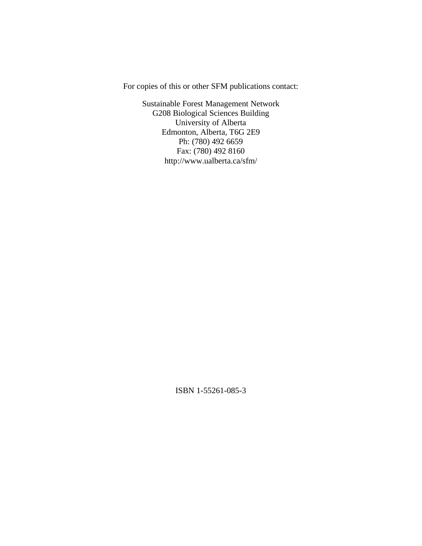For copies of this or other SFM publications contact:

Sustainable Forest Management Network G208 Biological Sciences Building University of Alberta Edmonton, Alberta, T6G 2E9 Ph: (780) 492 6659 Fax: (780) 492 8160 http://www.ualberta.ca/sfm/

ISBN 1-55261-085-3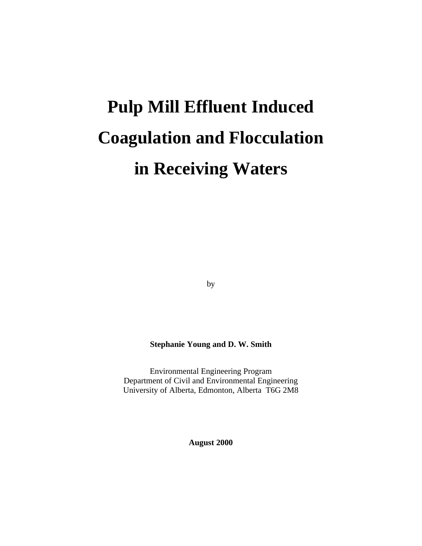# **Pulp Mill Effluent Induced Coagulation and Flocculation in Receiving Waters**

by

#### **Stephanie Young and D. W. Smith**

Environmental Engineering Program Department of Civil and Environmental Engineering University of Alberta, Edmonton, Alberta T6G 2M8

**August 2000**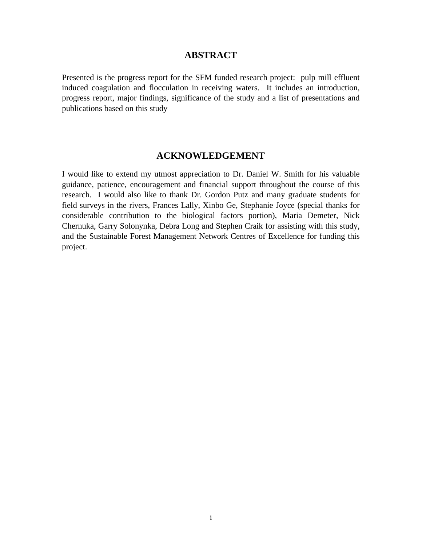#### **ABSTRACT**

Presented is the progress report for the SFM funded research project: pulp mill effluent induced coagulation and flocculation in receiving waters. It includes an introduction, progress report, major findings, significance of the study and a list of presentations and publications based on this study

#### **ACKNOWLEDGEMENT**

I would like to extend my utmost appreciation to Dr. Daniel W. Smith for his valuable guidance, patience, encouragement and financial support throughout the course of this research. I would also like to thank Dr. Gordon Putz and many graduate students for field surveys in the rivers, Frances Lally, Xinbo Ge, Stephanie Joyce (special thanks for considerable contribution to the biological factors portion), Maria Demeter, Nick Chernuka, Garry Solonynka, Debra Long and Stephen Craik for assisting with this study, and the Sustainable Forest Management Network Centres of Excellence for funding this project.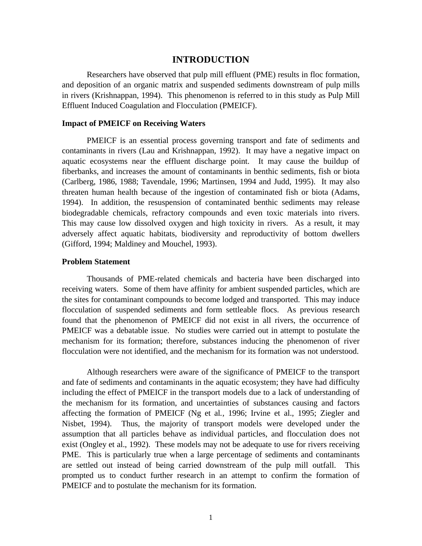#### **INTRODUCTION**

Researchers have observed that pulp mill effluent (PME) results in floc formation, and deposition of an organic matrix and suspended sediments downstream of pulp mills in rivers (Krishnappan, 1994). This phenomenon is referred to in this study as Pulp Mill Effluent Induced Coagulation and Flocculation (PMEICF).

#### **Impact of PMEICF on Receiving Waters**

PMEICF is an essential process governing transport and fate of sediments and contaminants in rivers (Lau and Krishnappan, 1992). It may have a negative impact on aquatic ecosystems near the effluent discharge point. It may cause the buildup of fiberbanks, and increases the amount of contaminants in benthic sediments, fish or biota (Carlberg, 1986, 1988; Tavendale, 1996; Martinsen, 1994 and Judd, 1995). It may also threaten human health because of the ingestion of contaminated fish or biota (Adams, 1994). In addition, the resuspension of contaminated benthic sediments may release biodegradable chemicals, refractory compounds and even toxic materials into rivers. This may cause low dissolved oxygen and high toxicity in rivers. As a result, it may adversely affect aquatic habitats, biodiversity and reproductivity of bottom dwellers (Gifford, 1994; Maldiney and Mouchel, 1993).

#### **Problem Statement**

Thousands of PME-related chemicals and bacteria have been discharged into receiving waters. Some of them have affinity for ambient suspended particles, which are the sites for contaminant compounds to become lodged and transported. This may induce flocculation of suspended sediments and form settleable flocs. As previous research found that the phenomenon of PMEICF did not exist in all rivers, the occurrence of PMEICF was a debatable issue. No studies were carried out in attempt to postulate the mechanism for its formation; therefore, substances inducing the phenomenon of river flocculation were not identified, and the mechanism for its formation was not understood.

Although researchers were aware of the significance of PMEICF to the transport and fate of sediments and contaminants in the aquatic ecosystem; they have had difficulty including the effect of PMEICF in the transport models due to a lack of understanding of the mechanism for its formation, and uncertainties of substances causing and factors affecting the formation of PMEICF (Ng et al*.*, 1996; Irvine et al., 1995; Ziegler and Nisbet, 1994). Thus, the majority of transport models were developed under the assumption that all particles behave as individual particles, and flocculation does not exist (Ongley et al., 1992). These models may not be adequate to use for rivers receiving PME. This is particularly true when a large percentage of sediments and contaminants are settled out instead of being carried downstream of the pulp mill outfall. This prompted us to conduct further research in an attempt to confirm the formation of PMEICF and to postulate the mechanism for its formation.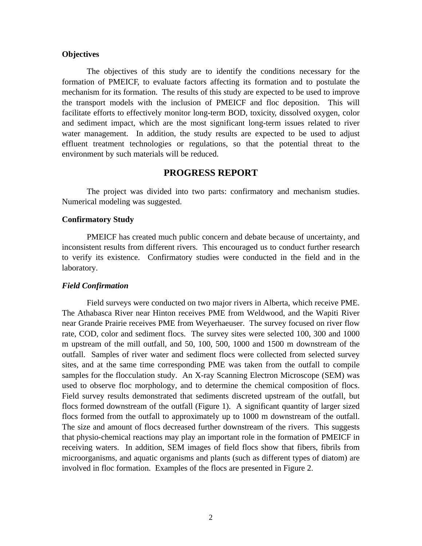#### **Objectives**

The objectives of this study are to identify the conditions necessary for the formation of PMEICF, to evaluate factors affecting its formation and to postulate the mechanism for its formation. The results of this study are expected to be used to improve the transport models with the inclusion of PMEICF and floc deposition. This will facilitate efforts to effectively monitor long-term BOD, toxicity, dissolved oxygen, color and sediment impact, which are the most significant long-term issues related to river water management. In addition, the study results are expected to be used to adjust effluent treatment technologies or regulations, so that the potential threat to the environment by such materials will be reduced.

#### **PROGRESS REPORT**

The project was divided into two parts: confirmatory and mechanism studies. Numerical modeling was suggested.

#### **Confirmatory Study**

PMEICF has created much public concern and debate because of uncertainty, and inconsistent results from different rivers. This encouraged us to conduct further research to verify its existence. Confirmatory studies were conducted in the field and in the laboratory.

#### *Field Confirmation*

Field surveys were conducted on two major rivers in Alberta, which receive PME. The Athabasca River near Hinton receives PME from Weldwood, and the Wapiti River near Grande Prairie receives PME from Weyerhaeuser. The survey focused on river flow rate, COD, color and sediment flocs. The survey sites were selected 100, 300 and 1000 m upstream of the mill outfall, and 50, 100, 500, 1000 and 1500 m downstream of the outfall. Samples of river water and sediment flocs were collected from selected survey sites, and at the same time corresponding PME was taken from the outfall to compile samples for the flocculation study. An X-ray Scanning Electron Microscope (SEM) was used to observe floc morphology, and to determine the chemical composition of flocs. Field survey results demonstrated that sediments discreted upstream of the outfall, but flocs formed downstream of the outfall (Figure 1). A significant quantity of larger sized flocs formed from the outfall to approximately up to 1000 m downstream of the outfall. The size and amount of flocs decreased further downstream of the rivers. This suggests that physio-chemical reactions may play an important role in the formation of PMEICF in receiving waters. In addition, SEM images of field flocs show that fibers, fibrils from microorganisms, and aquatic organisms and plants (such as different types of diatom) are involved in floc formation. Examples of the flocs are presented in Figure 2.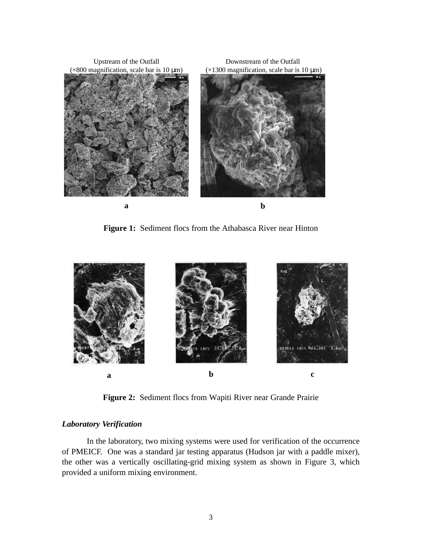

**Figure 1:** Sediment flocs from the Athabasca River near Hinton



**Figure 2:** Sediment flocs from Wapiti River near Grande Prairie

#### *Laboratory Verification*

In the laboratory, two mixing systems were used for verification of the occurrence of PMEICF. One was a standard jar testing apparatus (Hudson jar with a paddle mixer), the other was a vertically oscillating-grid mixing system as shown in Figure 3, which provided a uniform mixing environment.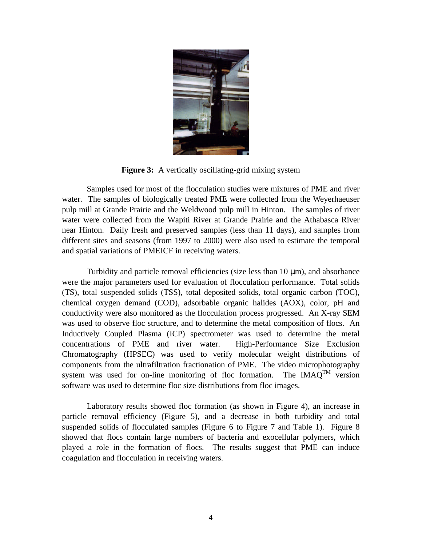

**Figure 3:** A vertically oscillating-grid mixing system

Samples used for most of the flocculation studies were mixtures of PME and river water. The samples of biologically treated PME were collected from the Weyerhaeuser pulp mill at Grande Prairie and the Weldwood pulp mill in Hinton. The samples of river water were collected from the Wapiti River at Grande Prairie and the Athabasca River near Hinton. Daily fresh and preserved samples (less than 11 days), and samples from different sites and seasons (from 1997 to 2000) were also used to estimate the temporal and spatial variations of PMEICF in receiving waters.

Turbidity and particle removal efficiencies (size less than 10 μm), and absorbance were the major parameters used for evaluation of flocculation performance. Total solids (TS), total suspended solids (TSS), total deposited solids, total organic carbon (TOC), chemical oxygen demand (COD), adsorbable organic halides (AOX), color, pH and conductivity were also monitored as the flocculation process progressed. An X-ray SEM was used to observe floc structure, and to determine the metal composition of flocs. An Inductively Coupled Plasma (ICP) spectrometer was used to determine the metal concentrations of PME and river water. High-Performance Size Exclusion Chromatography (HPSEC) was used to verify molecular weight distributions of components from the ultrafiltration fractionation of PME. The video microphotography system was used for on-line monitoring of floc formation. The IMAQ<sup>TM</sup> version software was used to determine floc size distributions from floc images.

Laboratory results showed floc formation (as shown in Figure 4), an increase in particle removal efficiency (Figure 5), and a decrease in both turbidity and total suspended solids of flocculated samples (Figure 6 to Figure 7 and Table 1). Figure 8 showed that flocs contain large numbers of bacteria and exocellular polymers, which played a role in the formation of flocs. The results suggest that PME can induce coagulation and flocculation in receiving waters.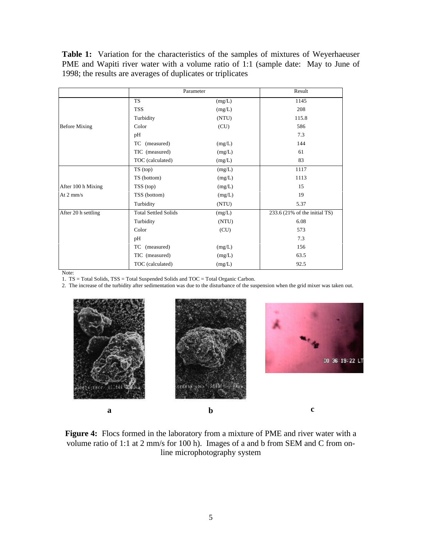**Table 1:** Variation for the characteristics of the samples of mixtures of Weyerhaeuser PME and Wapiti river water with a volume ratio of 1:1 (sample date: May to June of 1998; the results are averages of duplicates or triplicates

|                      |                             | Parameter |                                 |  |  |  |
|----------------------|-----------------------------|-----------|---------------------------------|--|--|--|
|                      | <b>TS</b>                   | (mg/L)    | 1145                            |  |  |  |
|                      | TSS                         | (mg/L)    | 208                             |  |  |  |
|                      | Turbidity                   | (NTU)     | 115.8                           |  |  |  |
| <b>Before Mixing</b> | Color                       | (CU)      | 586                             |  |  |  |
|                      | pH                          |           | 7.3                             |  |  |  |
|                      | TC (measured)               | (mg/L)    | 144                             |  |  |  |
|                      | TIC (measured)              | (mg/L)    | 61                              |  |  |  |
|                      | TOC (calculated)            | (mg/L)    | 83                              |  |  |  |
|                      | TS (top)                    | (mg/L)    | 1117                            |  |  |  |
|                      | TS (bottom)                 | (mg/L)    | 1113                            |  |  |  |
| After 100 h Mixing   | TSS (top)                   | (mg/L)    | 15                              |  |  |  |
| At $2 \text{ mm/s}$  | TSS (bottom)                | (mg/L)    | 19                              |  |  |  |
|                      | Turbidity                   | (NTU)     | 5.37                            |  |  |  |
| After 20 h settling  | <b>Total Settled Solids</b> | (mg/L)    | $233.6$ (21% of the initial TS) |  |  |  |
|                      | Turbidity                   | (NTU)     | 6.08                            |  |  |  |
|                      | Color                       | (CU)      | 573                             |  |  |  |
|                      | pH                          |           | 7.3                             |  |  |  |
|                      | (measured)<br>TC            | (mg/L)    | 156                             |  |  |  |
|                      | TIC (measured)              | (mg/L)    | 63.5                            |  |  |  |
|                      | TOC (calculated)            | (mg/L)    | 92.5                            |  |  |  |

Note:

1. TS = Total Solids, TSS = Total Suspended Solids and TOC = Total Organic Carbon.

2. The increase of the turbidity after sedimentation was due to the disturbance of the suspension when the grid mixer was taken out.





**Figure 4:** Flocs formed in the laboratory from a mixture of PME and river water with a volume ratio of 1:1 at 2 mm/s for 100 h). Images of a and b from SEM and C from online microphotography system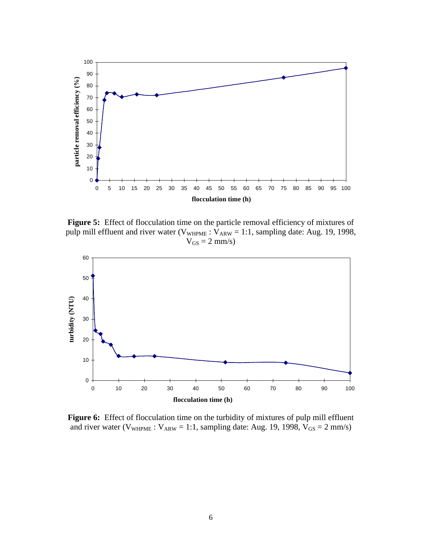

**Figure 5:** Effect of flocculation time on the particle removal efficiency of mixtures of pulp mill effluent and river water ( $V_{WHPME}$ :  $V_{ARW}$  = 1:1, sampling date: Aug. 19, 1998,  $V_{GS} = 2$  mm/s)



Figure 6: Effect of flocculation time on the turbidity of mixtures of pulp mill effluent and river water ( $V_{\text{WHPME}}$ :  $V_{\text{ARW}}$  = 1:1, sampling date: Aug. 19, 1998,  $V_{\text{GS}}$  = 2 mm/s)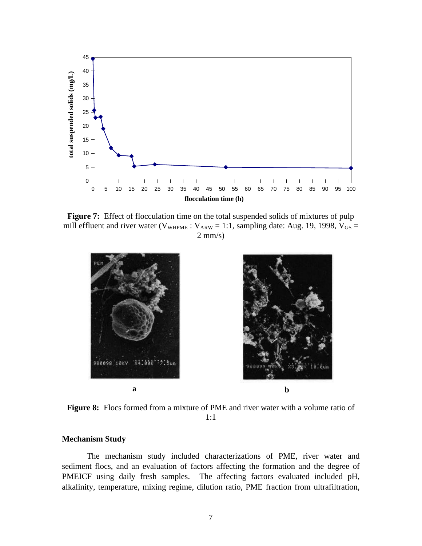

Figure 7: Effect of flocculation time on the total suspended solids of mixtures of pulp mill effluent and river water ( $V_{WHPME}$ :  $V_{ARW}$  = 1:1, sampling date: Aug. 19, 1998,  $V_{GS}$  =  $2$  mm/s)





**Figure 8:** Flocs formed from a mixture of PME and river water with a volume ratio of 1:1

#### **Mechanism Study**

The mechanism study included characterizations of PME, river water and sediment flocs, and an evaluation of factors affecting the formation and the degree of PMEICF using daily fresh samples. The affecting factors evaluated included pH, alkalinity, temperature, mixing regime, dilution ratio, PME fraction from ultrafiltration,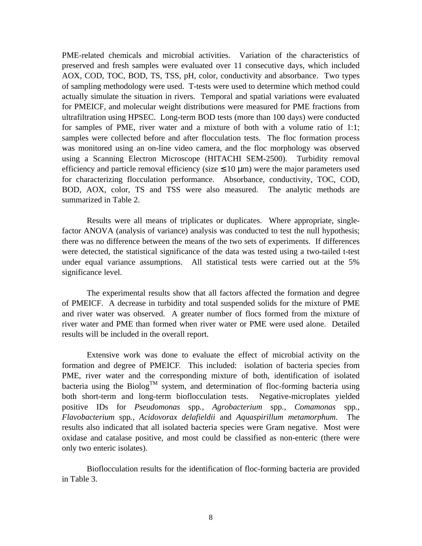PME-related chemicals and microbial activities. Variation of the characteristics of preserved and fresh samples were evaluated over 11 consecutive days, which included AOX, COD, TOC, BOD, TS, TSS, pH, color, conductivity and absorbance. Two types of sampling methodology were used. T-tests were used to determine which method could actually simulate the situation in rivers. Temporal and spatial variations were evaluated for PMEICF, and molecular weight distributions were measured for PME fractions from ultrafiltration using HPSEC. Long-term BOD tests (more than 100 days) were conducted for samples of PME, river water and a mixture of both with a volume ratio of 1:1; samples were collected before and after flocculation tests. The floc formation process was monitored using an on-line video camera, and the floc morphology was observed using a Scanning Electron Microscope (HITACHI SEM-2500). Turbidity removal efficiency and particle removal efficiency (size  $\leq 10 \text{ }\mu\text{m}$ ) were the major parameters used for characterizing flocculation performance. Absorbance, conductivity, TOC, COD, BOD, AOX, color, TS and TSS were also measured. The analytic methods are summarized in Table 2.

Results were all means of triplicates or duplicates. Where appropriate, singlefactor ANOVA (analysis of variance) analysis was conducted to test the null hypothesis; there was no difference between the means of the two sets of experiments. If differences were detected, the statistical significance of the data was tested using a two-tailed t-test under equal variance assumptions. All statistical tests were carried out at the 5% significance level.

The experimental results show that all factors affected the formation and degree of PMEICF. A decrease in turbidity and total suspended solids for the mixture of PME and river water was observed. A greater number of flocs formed from the mixture of river water and PME than formed when river water or PME were used alone. Detailed results will be included in the overall report.

Extensive work was done to evaluate the effect of microbial activity on the formation and degree of PMEICF. This included: isolation of bacteria species from PME, river water and the corresponding mixture of both, identification of isolated bacteria using the Biolog<sup>TM</sup> system, and determination of floc-forming bacteria using both short-term and long-term bioflocculation tests. Negative-microplates yielded positive IDs for *Pseudomonas* spp*., Agrobacterium* spp*., Comamonas* spp*., Flavobacterium* spp*., Acidovorax delafieldii* and *Aquaspirillum metamorphum*. The results also indicated that all isolated bacteria species were Gram negative. Most were oxidase and catalase positive, and most could be classified as non-enteric (there were only two enteric isolates).

Bioflocculation results for the identification of floc-forming bacteria are provided in Table 3.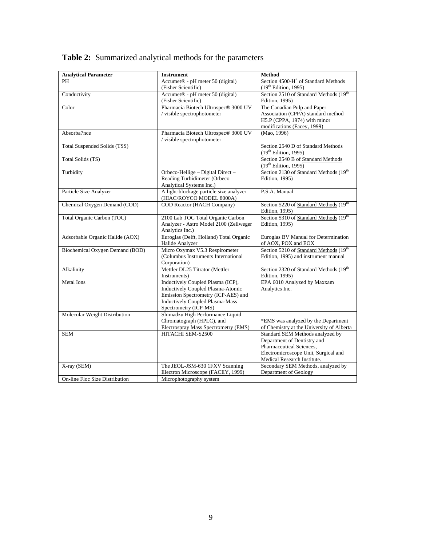| <b>Analytical Parameter</b>     | <b>Instrument</b>                                                 | <b>Method</b>                                                          |
|---------------------------------|-------------------------------------------------------------------|------------------------------------------------------------------------|
| PH                              | Accumet <sup>®</sup> - pH meter 50 (digital)                      | Section 4500-H <sup>+</sup> of Standard Methods                        |
|                                 | (Fisher Scientific)                                               | (19 <sup>th</sup> Edition, 1995)                                       |
| Conductivity                    | Accumet <sup>®</sup> - pH meter 50 (digital)                      | Section 2510 of Standard Methods (19th                                 |
|                                 | (Fisher Scientific)                                               | <b>Edition</b> , 1995)                                                 |
| Color                           | Pharmacia Biotech Ultrospec® 3000 UV                              | The Canadian Pulp and Paper                                            |
|                                 | / visible spectrophotometer                                       | Association (CPPA) standard method                                     |
|                                 |                                                                   | H5.P (CPPA, 1974) with minor                                           |
|                                 |                                                                   | modifications (Facey, 1999)                                            |
| Absorba7nce                     | Pharmacia Biotech Ultrospec® 3000 UV<br>visible spectrophotometer | (Mao, 1996)                                                            |
|                                 |                                                                   |                                                                        |
| Total Suspended Solids (TSS)    |                                                                   | Section 2540 D of Standard Methods<br>(19 <sup>th</sup> Edition, 1995) |
| Total Solids (TS)               |                                                                   | Section 2540 B of Standard Methods                                     |
|                                 |                                                                   | (19 <sup>th</sup> Edition, 1995)                                       |
| Turbidity                       | Orbeco-Hellige - Digital Direct -                                 | Section 2130 of Standard Methods (19th                                 |
|                                 | Reading Turbidimeter (Orbeco                                      | <b>Edition</b> , 1995)                                                 |
|                                 | Analytical Systems Inc.)                                          |                                                                        |
| Particle Size Analyzer          | A light-blockage particle size analyzer                           | P.S.A. Manual                                                          |
|                                 | (HIAC/ROYCO MODEL 8000A)                                          |                                                                        |
| Chemical Oxygen Demand (COD)    | <b>COD Reactor (HACH Company)</b>                                 | Section 5220 of Standard Methods (19th                                 |
|                                 |                                                                   | Edition, 1995)                                                         |
| Total Organic Carbon (TOC)      | 2100 Lab TOC Total Organic Carbon                                 | Section 5310 of Standard Methods (19th                                 |
|                                 | Analyzer - Astro Model 2100 (Zellweger                            | Edition, 1995)                                                         |
|                                 | Analytics Inc.)                                                   |                                                                        |
| Adsorbable Organic Halide (AOX) | Euroglas (Delft, Holland) Total Organic                           | Euroglas BV Manual for Determination                                   |
|                                 | Halide Analyzer                                                   | of AOX, POX and EOX                                                    |
| Biochemical Oxygen Demand (BOD) | Micro Oxymax V5.3 Respirometer                                    | Section 5210 of Standard Methods (19th                                 |
|                                 | (Columbus Instruments International                               | Edition, 1995) and instrument manual                                   |
|                                 | Corporation)                                                      |                                                                        |
| Alkalinity                      | Mettler DL25 Titrator (Mettler<br>Instruments)                    | Section 2320 of Standard Methods (19th<br><b>Edition</b> , 1995)       |
| <b>Metal</b> Ions               | Inductively Coupled Plasma (ICP),                                 | EPA 6010 Analyzed by Maxxam                                            |
|                                 | Inductively Coupled Plasma-Atomic                                 | Analytics Inc.                                                         |
|                                 | Emission Spectrometry (ICP-AES) and                               |                                                                        |
|                                 | <b>Inductively Coupled Plasma-Mass</b>                            |                                                                        |
|                                 | Spectrometry (ICP-MS)                                             |                                                                        |
| Molecular Weight Distribution   | Shimadzu High Performance Liquid                                  |                                                                        |
|                                 | Chromatograph (HPLC), and                                         | *EMS was analyzed by the Department                                    |
|                                 | Electrospray Mass Spectrometry (EMS)                              | of Chemistry at the University of Alberta                              |
| <b>SEM</b>                      | HITACHI SEM-S2500                                                 | Standard SEM Methods analyzed by                                       |
|                                 |                                                                   | Department of Dentistry and                                            |
|                                 |                                                                   | Pharmaceutical Sciences,                                               |
|                                 |                                                                   | Electromicroscope Unit, Surgical and                                   |
|                                 |                                                                   | Medical Research Institute.                                            |
| X-ray (SEM)                     | The JEOL-JSM-630 1FXV Scanning                                    | Secondary SEM Methods, analyzed by                                     |
|                                 | Electron Microscope (FACEY, 1999)                                 | Department of Geology                                                  |
| On-line Floc Size Distribution  | Microphotography system                                           |                                                                        |

## **Table 2:** Summarized analytical methods for the parameters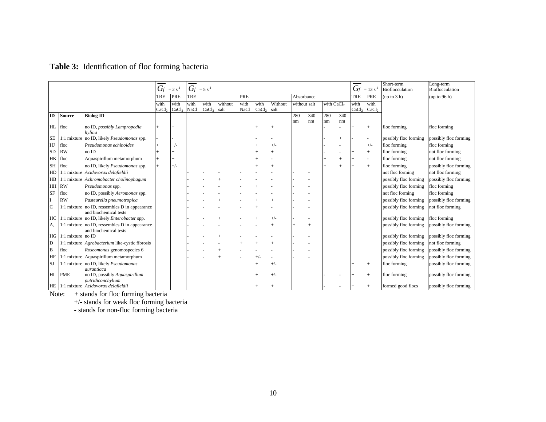### **Table 3:** Identification of floc forming bacteria

|                |                      |                                                                        | $G_f = 2 s^{-1}$  |                   | $G_f = 5 s^{-1}$ |              |         |             |              |         |                                        |     |     | $G_f = 13 s^{-1}$ | Short-term<br><b>Bioflocculation</b> | Long-term<br><b>Bioflocculation</b> |                       |                       |
|----------------|----------------------|------------------------------------------------------------------------|-------------------|-------------------|------------------|--------------|---------|-------------|--------------|---------|----------------------------------------|-----|-----|-------------------|--------------------------------------|-------------------------------------|-----------------------|-----------------------|
|                |                      |                                                                        | TRE               | PRE               | <b>TRE</b>       |              |         | PRE         |              |         | Absorbance                             |     |     | TRE               | PRE                                  | (up to 3 h)                         | (up to 96 h)          |                       |
|                |                      |                                                                        | with              | with              | with             | with         | without | with        | with         | Without | with CaCl <sub>2</sub><br>without salt |     |     | with              | with                                 |                                     |                       |                       |
| $\mathbf{I}$   | <b>Source</b>        |                                                                        | CaCl <sub>2</sub> | CaCl <sub>2</sub> | <b>NaCl</b>      | $CaCl2$ salt |         | <b>NaCl</b> | $CaCl2$ salt |         | 280                                    | 340 | 280 |                   | CaCl <sub>2</sub>                    | CaCl <sub>2</sub>                   |                       |                       |
|                |                      | <b>Biolog ID</b>                                                       |                   |                   |                  |              |         |             |              |         | nm                                     | nm  | nm  | 340<br>nm         |                                      |                                     |                       |                       |
| HL floc        |                      | no ID, possibly Lampropedia<br>hvlina                                  |                   |                   |                  |              |         |             |              |         |                                        |     |     |                   |                                      | $^{+}$                              | floc forming          | floc forming          |
| <b>SE</b>      |                      | 1:1 mixture no ID, likely <i>Pseudomonas</i> spp.                      |                   |                   |                  |              |         |             |              |         |                                        |     |     | $+$               |                                      |                                     | possibly floc forming | possibly floc forming |
| HJ             | floc                 | Pseudomonas echinoides                                                 |                   | $+/-$             |                  |              |         |             |              | $+/-$   |                                        |     |     |                   |                                      | $+/-$                               | floc forming          | floc forming          |
| <b>SD</b>      | <b>RW</b>            | no ID                                                                  |                   | $^{+}$            |                  |              |         |             |              |         |                                        |     |     |                   |                                      | $+$                                 | floc forming          | not floc forming      |
| HK             | floc                 | Aquaspirillum metamorphum                                              |                   | $+$               |                  |              |         |             |              |         |                                        |     |     | $+$               |                                      |                                     | floc forming          | not floc forming      |
| <b>SH</b>      | floc                 | no ID, likely Pseudomonas spp.                                         |                   | $+/-$             |                  |              |         |             |              |         |                                        |     |     | $\overline{+}$    |                                      |                                     | floc forming          | possibly floc forming |
| HD             |                      | 1:1 mixture Acidovorax delafieldii                                     |                   |                   |                  |              |         |             |              |         |                                        |     |     |                   |                                      |                                     | not floc forming      | not floc forming      |
| $H\!B$         |                      | 1:1 mixture Achromobacter cholinophagum                                |                   |                   |                  |              |         |             |              |         |                                        |     |     |                   |                                      |                                     | possibly floc forming | possibly floc forming |
| HH RW          |                      | Pseudomonas spp.                                                       |                   |                   |                  |              |         |             |              |         |                                        |     |     |                   |                                      |                                     | possibly floc forming | floc forming          |
| <b>SF</b>      | floc                 | no ID, possibly Aeromonas spp.                                         |                   |                   |                  |              |         |             |              |         |                                        |     |     |                   |                                      |                                     | not floc forming      | floc forming          |
|                | <b>RW</b>            | Pasteurella pneumotropica                                              |                   |                   |                  |              |         |             |              |         |                                        |     |     |                   |                                      |                                     | possibly floc forming | possibly floc forming |
| $\mathbf C$    |                      | 1:1 mixture no ID, ressembles D in appearance<br>and biochemical tests |                   |                   |                  |              |         |             |              |         |                                        |     |     |                   |                                      |                                     | possibly floc forming | not floc forming      |
| HC             |                      | 1:1 mixture no ID, likely <i>Enterobacter</i> spp.                     |                   |                   |                  |              |         |             |              |         |                                        |     |     |                   |                                      |                                     | possibly floc forming | floc forming          |
| A <sub>2</sub> |                      | 1:1 mixture no ID, ressembles D in appearance<br>and biochemical tests |                   |                   |                  |              |         |             |              |         |                                        |     |     |                   |                                      |                                     | possibly floc forming | possibly floc forming |
|                | HG 1:1 mixture no ID |                                                                        |                   |                   |                  |              |         |             |              |         |                                        |     |     |                   |                                      |                                     | possibly floc forming | possibly floc forming |
| D              |                      | 1:1 mixture <i>Agrobacterium</i> like-cystic fibrosis                  |                   |                   |                  |              |         |             |              |         |                                        |     |     |                   |                                      |                                     | possibly floc forming | not floc forming      |
| B              | floc                 | Roseomonas genomospecies 6                                             |                   |                   |                  |              |         |             |              |         |                                        |     |     |                   |                                      |                                     | possibly floc forming | possibly floc forming |
| HF             |                      | 1:1 mixture Aquaspirillum metamorphum                                  |                   |                   |                  |              |         |             |              |         |                                        |     |     |                   |                                      |                                     | possibly floc forming | possibly floc forming |
| <b>SJ</b>      |                      | 1:1 mixture no ID, likely Pseudomonas                                  |                   |                   |                  |              |         |             |              |         |                                        |     |     |                   |                                      |                                     | floc forming          | possibly floc forming |
| H              | <b>PME</b>           | aurantiaca<br>no ID, possibly Aquaspirillum<br>putridiconchylium       |                   |                   |                  |              |         |             |              |         |                                        |     |     |                   |                                      |                                     | floc forming          | possibly floc forming |
|                |                      | HE 1:1 mixture Acidovorax delafieldii                                  |                   |                   |                  |              |         |             |              |         |                                        |     |     |                   |                                      |                                     | formed good flocs     | possibly floc forming |

Note: + stands for floc forming bacteria

+/- stands for weak floc forming bacteria

- stands for non-floc forming bacteria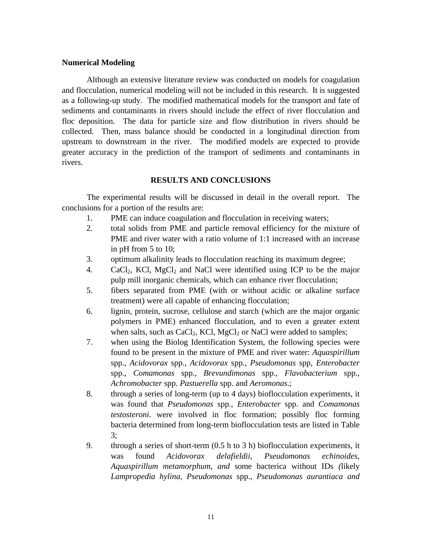#### **Numerical Modeling**

Although an extensive literature review was conducted on models for coagulation and flocculation, numerical modeling will not be included in this research. It is suggested as a following-up study. The modified mathematical models for the transport and fate of sediments and contaminants in rivers should include the effect of river flocculation and floc deposition. The data for particle size and flow distribution in rivers should be collected. Then, mass balance should be conducted in a longitudinal direction from upstream to downstream in the river. The modified models are expected to provide greater accuracy in the prediction of the transport of sediments and contaminants in rivers.

#### **RESULTS AND CONCLUSIONS**

The experimental results will be discussed in detail in the overall report. The conclusions for a portion of the results are:

- 1. PME can induce coagulation and flocculation in receiving waters;
- 2. total solids from PME and particle removal efficiency for the mixture of PME and river water with a ratio volume of 1:1 increased with an increase in pH from 5 to 10;
- 3. optimum alkalinity leads to flocculation reaching its maximum degree;
- 4. CaCl<sub>2</sub>, KCl, MgCl<sub>2</sub> and NaCl were identified using ICP to be the major pulp mill inorganic chemicals, which can enhance river flocculation;
- 5. fibers separated from PME (with or without acidic or alkaline surface treatment) were all capable of enhancing flocculation;
- 6. lignin, protein, sucrose, cellulose and starch (which are the major organic polymers in PME) enhanced flocculation, and to even a greater extent when salts, such as  $CaCl<sub>2</sub>$ , KCl, MgCl<sub>2</sub> or NaCl were added to samples;
- 7. when using the Biolog Identification System, the following species were found to be present in the mixture of PME and river water: *Aquaspirillum* spp., *Acidovorax* spp., *Acidovorax* spp., *Pseudomonas* spp, *Enterobacter* spp., *Comamonas* spp., *Brevundimonas* spp., *Flavobacterium* spp., *Achromobacter* spp. *Pastuerella* spp. and *Aeromonas*.;
- 8. through a series of long-term (up to 4 days) bioflocculation experiments, it was found that *Pseudomonas* spp., *Enterobacter* spp. and *Comamonas testosteroni*. were involved in floc formation; possibly floc forming bacteria determined from long-term bioflocculation tests are listed in Table 3;
- 9. through a series of short-term (0.5 h to 3 h) bioflocculation experiments, it was found *Acidovorax delafieldii, Pseudomonas echinoides, Aquaspirillum metamorphum, and* some bacterica without IDs *(*likely *Lampropedia hylina, Pseudomonas* spp., *Pseudomonas aurantiaca and*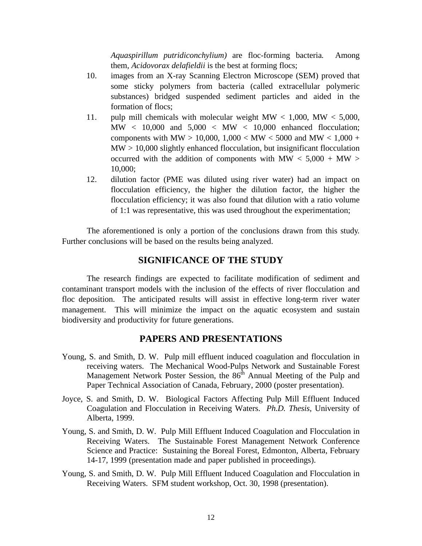*Aquaspirillum putridiconchylium)* are floc-forming bacteria*.* Among them*, Acidovorax delafieldii* is the best at forming flocs;

- 10. images from an X-ray Scanning Electron Microscope (SEM) proved that some sticky polymers from bacteria (called extracellular polymeric substances) bridged suspended sediment particles and aided in the formation of flocs;
- 11. pulp mill chemicals with molecular weight  $MW < 1,000$ ,  $MW < 5,000$ , MW < 10,000 and 5,000 < MW < 10,000 enhanced flocculation; components with MW > 10,000, 1,000 < MW < 5000 and MW < 1,000 +  $MW > 10,000$  slightly enhanced flocculation, but insignificant flocculation occurred with the addition of components with  $MW < 5,000 + MW >$ 10,000;
- 12. dilution factor (PME was diluted using river water) had an impact on flocculation efficiency, the higher the dilution factor, the higher the flocculation efficiency; it was also found that dilution with a ratio volume of 1:1 was representative, this was used throughout the experimentation;

The aforementioned is only a portion of the conclusions drawn from this study. Further conclusions will be based on the results being analyzed.

#### **SIGNIFICANCE OF THE STUDY**

The research findings are expected to facilitate modification of sediment and contaminant transport models with the inclusion of the effects of river flocculation and floc deposition. The anticipated results will assist in effective long-term river water management. This will minimize the impact on the aquatic ecosystem and sustain biodiversity and productivity for future generations.

#### **PAPERS AND PRESENTATIONS**

- Young, S. and Smith, D. W. Pulp mill effluent induced coagulation and flocculation in receiving waters. The Mechanical Wood-Pulps Network and Sustainable Forest Management Network Poster Session, the  $86<sup>th</sup>$  Annual Meeting of the Pulp and Paper Technical Association of Canada, February, 2000 (poster presentation).
- Joyce, S. and Smith, D. W. Biological Factors Affecting Pulp Mill Effluent Induced Coagulation and Flocculation in Receiving Waters. *Ph.D. Thesis*, University of Alberta, 1999.
- Young, S. and Smith, D. W. Pulp Mill Effluent Induced Coagulation and Flocculation in Receiving Waters. The Sustainable Forest Management Network Conference Science and Practice: Sustaining the Boreal Forest, Edmonton, Alberta, February 14-17, 1999 (presentation made and paper published in proceedings).
- Young, S. and Smith, D. W. Pulp Mill Effluent Induced Coagulation and Flocculation in Receiving Waters. SFM student workshop, Oct. 30, 1998 (presentation).